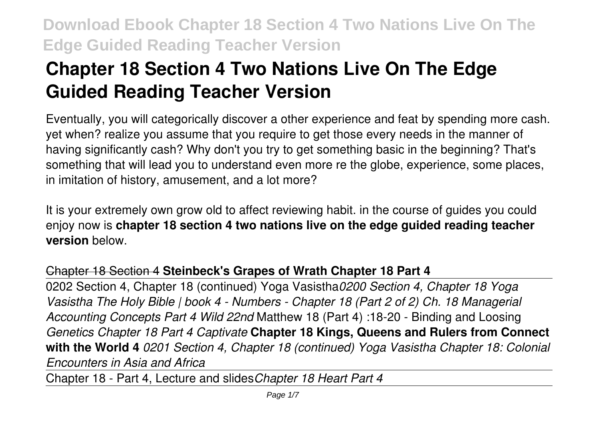# **Chapter 18 Section 4 Two Nations Live On The Edge Guided Reading Teacher Version**

Eventually, you will categorically discover a other experience and feat by spending more cash. yet when? realize you assume that you require to get those every needs in the manner of having significantly cash? Why don't you try to get something basic in the beginning? That's something that will lead you to understand even more re the globe, experience, some places, in imitation of history, amusement, and a lot more?

It is your extremely own grow old to affect reviewing habit. in the course of guides you could enjoy now is **chapter 18 section 4 two nations live on the edge guided reading teacher version** below.

## Chapter 18 Section 4 **Steinbeck's Grapes of Wrath Chapter 18 Part 4**

0202 Section 4, Chapter 18 (continued) Yoga Vasistha*0200 Section 4, Chapter 18 Yoga Vasistha The Holy Bible | book 4 - Numbers - Chapter 18 (Part 2 of 2) Ch. 18 Managerial Accounting Concepts Part 4 Wild 22nd* Matthew 18 (Part 4) :18-20 - Binding and Loosing *Genetics Chapter 18 Part 4 Captivate* **Chapter 18 Kings, Queens and Rulers from Connect with the World 4** *0201 Section 4, Chapter 18 (continued) Yoga Vasistha Chapter 18: Colonial Encounters in Asia and Africa*

Chapter 18 - Part 4, Lecture and slides*Chapter 18 Heart Part 4*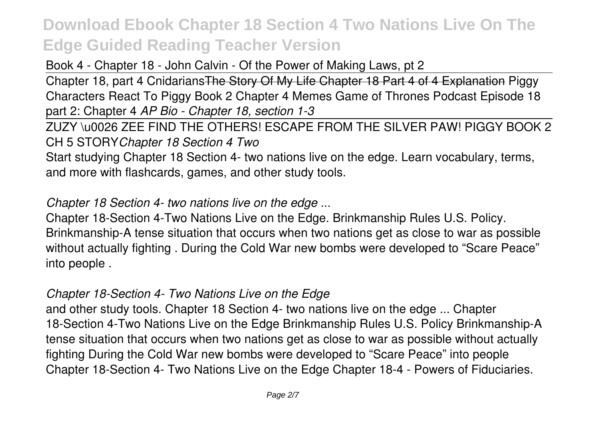Book 4 - Chapter 18 - John Calvin - Of the Power of Making Laws, pt 2

Chapter 18, part 4 Cnidarians The Story Of My Life Chapter 18 Part 4 of 4 Explanation Piggy Characters React To Piggy Book 2 Chapter 4 Memes Game of Thrones Podcast Episode 18 part 2: Chapter 4 *AP Bio - Chapter 18, section 1-3*

ZUZY \u0026 ZEE FIND THE OTHERS! ESCAPE FROM THE SILVER PAW! PIGGY BOOK 2 CH 5 STORY*Chapter 18 Section 4 Two*

Start studying Chapter 18 Section 4- two nations live on the edge. Learn vocabulary, terms, and more with flashcards, games, and other study tools.

*Chapter 18 Section 4- two nations live on the edge ...*

Chapter 18-Section 4-Two Nations Live on the Edge. Brinkmanship Rules U.S. Policy. Brinkmanship-A tense situation that occurs when two nations get as close to war as possible without actually fighting . During the Cold War new bombs were developed to "Scare Peace" into people .

### *Chapter 18-Section 4- Two Nations Live on the Edge*

and other study tools. Chapter 18 Section 4- two nations live on the edge ... Chapter 18-Section 4-Two Nations Live on the Edge Brinkmanship Rules U.S. Policy Brinkmanship-A tense situation that occurs when two nations get as close to war as possible without actually fighting During the Cold War new bombs were developed to "Scare Peace" into people Chapter 18-Section 4- Two Nations Live on the Edge Chapter 18-4 - Powers of Fiduciaries.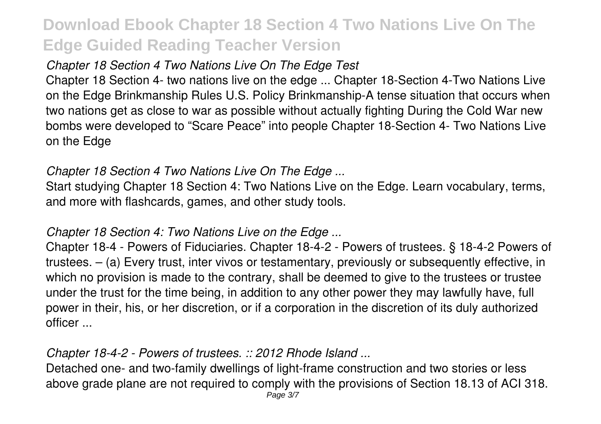## *Chapter 18 Section 4 Two Nations Live On The Edge Test*

Chapter 18 Section 4- two nations live on the edge ... Chapter 18-Section 4-Two Nations Live on the Edge Brinkmanship Rules U.S. Policy Brinkmanship-A tense situation that occurs when two nations get as close to war as possible without actually fighting During the Cold War new bombs were developed to "Scare Peace" into people Chapter 18-Section 4- Two Nations Live on the Edge

## *Chapter 18 Section 4 Two Nations Live On The Edge ...*

Start studying Chapter 18 Section 4: Two Nations Live on the Edge. Learn vocabulary, terms, and more with flashcards, games, and other study tools.

### *Chapter 18 Section 4: Two Nations Live on the Edge ...*

Chapter 18-4 - Powers of Fiduciaries. Chapter 18-4-2 - Powers of trustees. § 18-4-2 Powers of trustees. – (a) Every trust, inter vivos or testamentary, previously or subsequently effective, in which no provision is made to the contrary, shall be deemed to give to the trustees or trustee under the trust for the time being, in addition to any other power they may lawfully have, full power in their, his, or her discretion, or if a corporation in the discretion of its duly authorized officer ...

## *Chapter 18-4-2 - Powers of trustees. :: 2012 Rhode Island ...*

Detached one- and two-family dwellings of light-frame construction and two stories or less above grade plane are not required to comply with the provisions of Section 18.13 of ACI 318.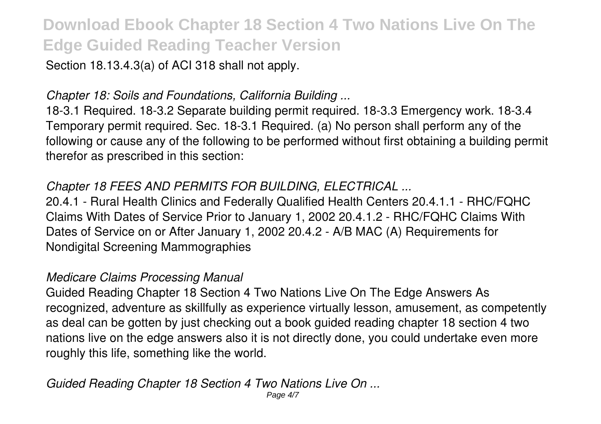Section 18.13.4.3(a) of ACI 318 shall not apply.

### *Chapter 18: Soils and Foundations, California Building ...*

18-3.1 Required. 18-3.2 Separate building permit required. 18-3.3 Emergency work. 18-3.4 Temporary permit required. Sec. 18-3.1 Required. (a) No person shall perform any of the following or cause any of the following to be performed without first obtaining a building permit therefor as prescribed in this section:

### *Chapter 18 FEES AND PERMITS FOR BUILDING, ELECTRICAL ...*

20.4.1 - Rural Health Clinics and Federally Qualified Health Centers 20.4.1.1 - RHC/FQHC Claims With Dates of Service Prior to January 1, 2002 20.4.1.2 - RHC/FQHC Claims With Dates of Service on or After January 1, 2002 20.4.2 - A/B MAC (A) Requirements for Nondigital Screening Mammographies

#### *Medicare Claims Processing Manual*

Guided Reading Chapter 18 Section 4 Two Nations Live On The Edge Answers As recognized, adventure as skillfully as experience virtually lesson, amusement, as competently as deal can be gotten by just checking out a book guided reading chapter 18 section 4 two nations live on the edge answers also it is not directly done, you could undertake even more roughly this life, something like the world.

*Guided Reading Chapter 18 Section 4 Two Nations Live On ...*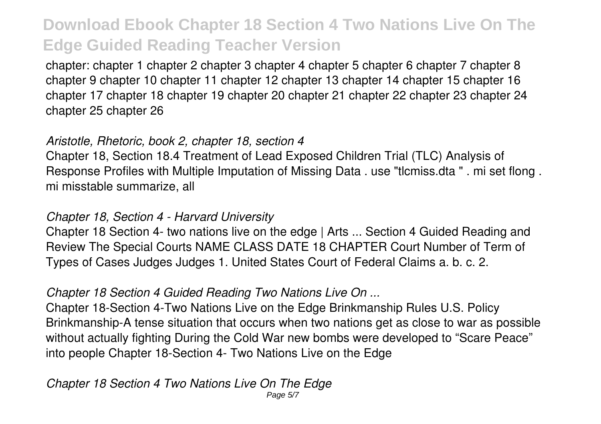chapter: chapter 1 chapter 2 chapter 3 chapter 4 chapter 5 chapter 6 chapter 7 chapter 8 chapter 9 chapter 10 chapter 11 chapter 12 chapter 13 chapter 14 chapter 15 chapter 16 chapter 17 chapter 18 chapter 19 chapter 20 chapter 21 chapter 22 chapter 23 chapter 24 chapter 25 chapter 26

#### *Aristotle, Rhetoric, book 2, chapter 18, section 4*

Chapter 18, Section 18.4 Treatment of Lead Exposed Children Trial (TLC) Analysis of Response Profiles with Multiple Imputation of Missing Data . use "tlcmiss.dta " . mi set flong . mi misstable summarize, all

#### *Chapter 18, Section 4 - Harvard University*

Chapter 18 Section 4- two nations live on the edge | Arts ... Section 4 Guided Reading and Review The Special Courts NAME CLASS DATE 18 CHAPTER Court Number of Term of Types of Cases Judges Judges 1. United States Court of Federal Claims a. b. c. 2.

### *Chapter 18 Section 4 Guided Reading Two Nations Live On ...*

Chapter 18-Section 4-Two Nations Live on the Edge Brinkmanship Rules U.S. Policy Brinkmanship-A tense situation that occurs when two nations get as close to war as possible without actually fighting During the Cold War new bombs were developed to "Scare Peace" into people Chapter 18-Section 4- Two Nations Live on the Edge

## *Chapter 18 Section 4 Two Nations Live On The Edge*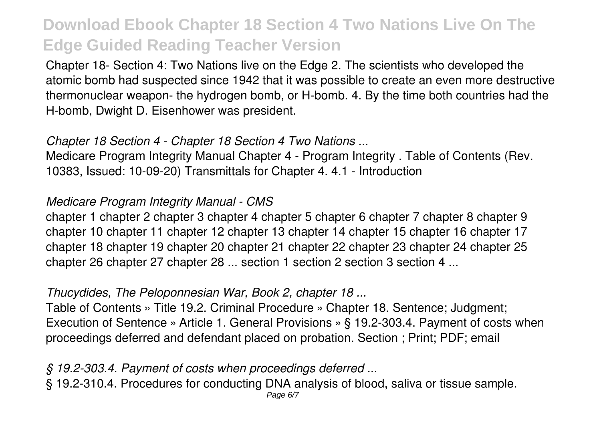Chapter 18- Section 4: Two Nations live on the Edge 2. The scientists who developed the atomic bomb had suspected since 1942 that it was possible to create an even more destructive thermonuclear weapon- the hydrogen bomb, or H-bomb. 4. By the time both countries had the H-bomb, Dwight D. Eisenhower was president.

#### *Chapter 18 Section 4 - Chapter 18 Section 4 Two Nations ...*

Medicare Program Integrity Manual Chapter 4 - Program Integrity . Table of Contents (Rev. 10383, Issued: 10-09-20) Transmittals for Chapter 4. 4.1 - Introduction

### *Medicare Program Integrity Manual - CMS*

chapter 1 chapter 2 chapter 3 chapter 4 chapter 5 chapter 6 chapter 7 chapter 8 chapter 9 chapter 10 chapter 11 chapter 12 chapter 13 chapter 14 chapter 15 chapter 16 chapter 17 chapter 18 chapter 19 chapter 20 chapter 21 chapter 22 chapter 23 chapter 24 chapter 25 chapter 26 chapter 27 chapter 28 ... section 1 section 2 section 3 section 4 ...

## *Thucydides, The Peloponnesian War, Book 2, chapter 18 ...*

Table of Contents » Title 19.2. Criminal Procedure » Chapter 18. Sentence; Judgment; Execution of Sentence » Article 1. General Provisions » § 19.2-303.4. Payment of costs when proceedings deferred and defendant placed on probation. Section ; Print; PDF; email

## *§ 19.2-303.4. Payment of costs when proceedings deferred ...*

§ 19.2-310.4. Procedures for conducting DNA analysis of blood, saliva or tissue sample.